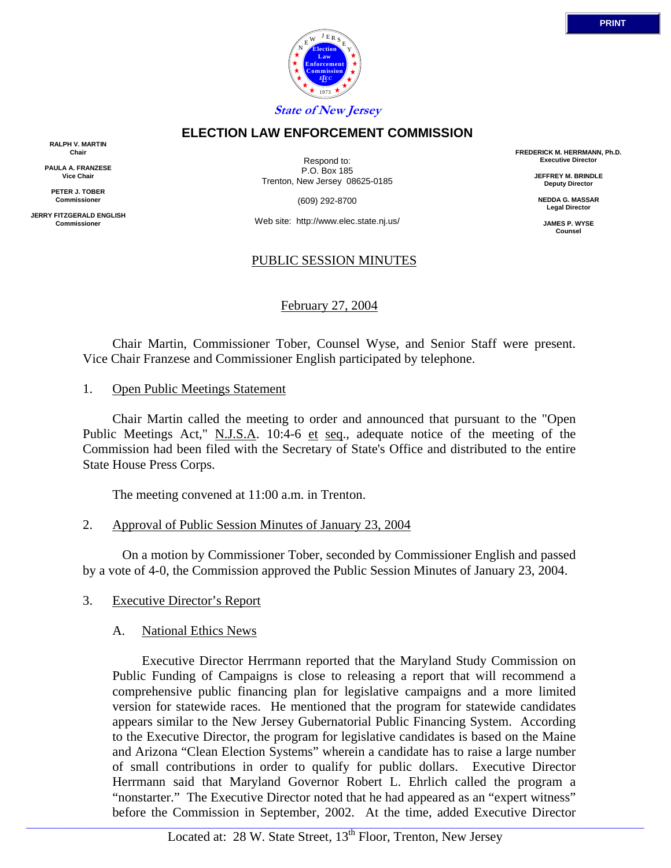

**RALPH V. MARTIN Chair**

**PAULA A. FRANZESE Vice Chair**

**PETER J. TOBER Commissioner**

**JERRY FITZGERALD ENGLISH Commissioner**

Respond to: P.O. Box 185 Trenton, New Jersey 08625-0185

(609) 292-8700

Web site: http://www.elec.state.nj.us/

### PUBLIC SESSION MINUTES

February 27, 2004

 Chair Martin, Commissioner Tober, Counsel Wyse, and Senior Staff were present. Vice Chair Franzese and Commissioner English participated by telephone.

1. Open Public Meetings Statement

 Chair Martin called the meeting to order and announced that pursuant to the "Open Public Meetings Act," N.J.S.A. 10:4-6 et seq., adequate notice of the meeting of the Commission had been filed with the Secretary of State's Office and distributed to the entire State House Press Corps.

The meeting convened at 11:00 a.m. in Trenton.

2. Approval of Public Session Minutes of January 23, 2004

 On a motion by Commissioner Tober, seconded by Commissioner English and passed by a vote of 4-0, the Commission approved the Public Session Minutes of January 23, 2004.

- 3. Executive Director's Report
	- A. National Ethics News

 Executive Director Herrmann reported that the Maryland Study Commission on Public Funding of Campaigns is close to releasing a report that will recommend a comprehensive public financing plan for legislative campaigns and a more limited version for statewide races. He mentioned that the program for statewide candidates appears similar to the New Jersey Gubernatorial Public Financing System. According to the Executive Director, the program for legislative candidates is based on the Maine and Arizona "Clean Election Systems" wherein a candidate has to raise a large number of small contributions in order to qualify for public dollars. Executive Director Herrmann said that Maryland Governor Robert L. Ehrlich called the program a "nonstarter." The Executive Director noted that he had appeared as an "expert witness" before the Commission in September, 2002. At the time, added Executive Director

**FREDERICK M. HERRMANN, Ph.D. Executive Director**

> **JEFFREY M. BRINDLE Deputy Director**

**NEDDA G. MASSAR Legal Director**

> **JAMES P. WYSE Counsel**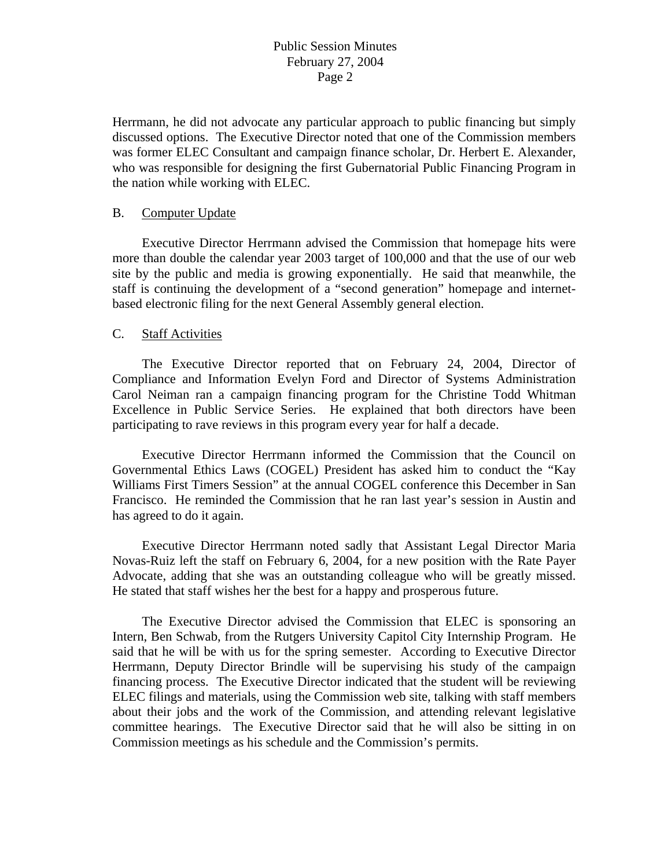Herrmann, he did not advocate any particular approach to public financing but simply discussed options. The Executive Director noted that one of the Commission members was former ELEC Consultant and campaign finance scholar, Dr. Herbert E. Alexander, who was responsible for designing the first Gubernatorial Public Financing Program in the nation while working with ELEC.

#### B. Computer Update

 Executive Director Herrmann advised the Commission that homepage hits were more than double the calendar year 2003 target of 100,000 and that the use of our web site by the public and media is growing exponentially. He said that meanwhile, the staff is continuing the development of a "second generation" homepage and internetbased electronic filing for the next General Assembly general election.

### C. Staff Activities

 The Executive Director reported that on February 24, 2004, Director of Compliance and Information Evelyn Ford and Director of Systems Administration Carol Neiman ran a campaign financing program for the Christine Todd Whitman Excellence in Public Service Series. He explained that both directors have been participating to rave reviews in this program every year for half a decade.

 Executive Director Herrmann informed the Commission that the Council on Governmental Ethics Laws (COGEL) President has asked him to conduct the "Kay Williams First Timers Session" at the annual COGEL conference this December in San Francisco. He reminded the Commission that he ran last year's session in Austin and has agreed to do it again.

 Executive Director Herrmann noted sadly that Assistant Legal Director Maria Novas-Ruiz left the staff on February 6, 2004, for a new position with the Rate Payer Advocate, adding that she was an outstanding colleague who will be greatly missed. He stated that staff wishes her the best for a happy and prosperous future.

 The Executive Director advised the Commission that ELEC is sponsoring an Intern, Ben Schwab, from the Rutgers University Capitol City Internship Program. He said that he will be with us for the spring semester. According to Executive Director Herrmann, Deputy Director Brindle will be supervising his study of the campaign financing process. The Executive Director indicated that the student will be reviewing ELEC filings and materials, using the Commission web site, talking with staff members about their jobs and the work of the Commission, and attending relevant legislative committee hearings. The Executive Director said that he will also be sitting in on Commission meetings as his schedule and the Commission's permits.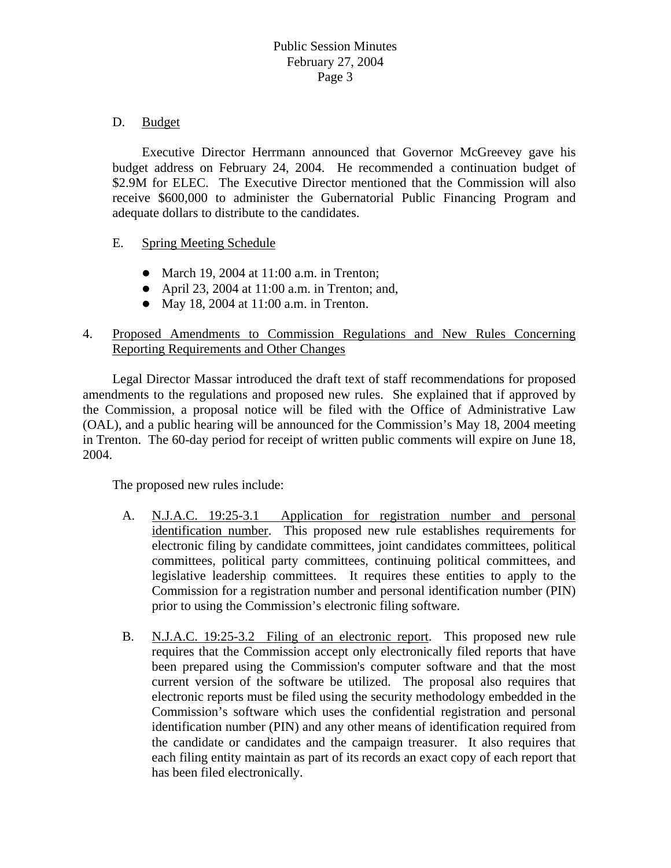## D. Budget

 Executive Director Herrmann announced that Governor McGreevey gave his budget address on February 24, 2004. He recommended a continuation budget of \$2.9M for ELEC. The Executive Director mentioned that the Commission will also receive \$600,000 to administer the Gubernatorial Public Financing Program and adequate dollars to distribute to the candidates.

- E. Spring Meeting Schedule
	- March 19, 2004 at  $11:00$  a.m. in Trenton;
	- April 23, 2004 at  $11:00$  a.m. in Trenton; and,
	- May 18, 2004 at  $11:00$  a.m. in Trenton.

# 4. Proposed Amendments to Commission Regulations and New Rules Concerning Reporting Requirements and Other Changes

 Legal Director Massar introduced the draft text of staff recommendations for proposed amendments to the regulations and proposed new rules. She explained that if approved by the Commission, a proposal notice will be filed with the Office of Administrative Law (OAL), and a public hearing will be announced for the Commission's May 18, 2004 meeting in Trenton. The 60-day period for receipt of written public comments will expire on June 18, 2004.

The proposed new rules include:

- A. N.J.A.C. 19:25-3.1 Application for registration number and personal identification number. This proposed new rule establishes requirements for electronic filing by candidate committees, joint candidates committees, political committees, political party committees, continuing political committees, and legislative leadership committees. It requires these entities to apply to the Commission for a registration number and personal identification number (PIN) prior to using the Commission's electronic filing software.
- B. N.J.A.C. 19:25-3.2 Filing of an electronic report. This proposed new rule requires that the Commission accept only electronically filed reports that have been prepared using the Commission's computer software and that the most current version of the software be utilized. The proposal also requires that electronic reports must be filed using the security methodology embedded in the Commission's software which uses the confidential registration and personal identification number (PIN) and any other means of identification required from the candidate or candidates and the campaign treasurer. It also requires that each filing entity maintain as part of its records an exact copy of each report that has been filed electronically.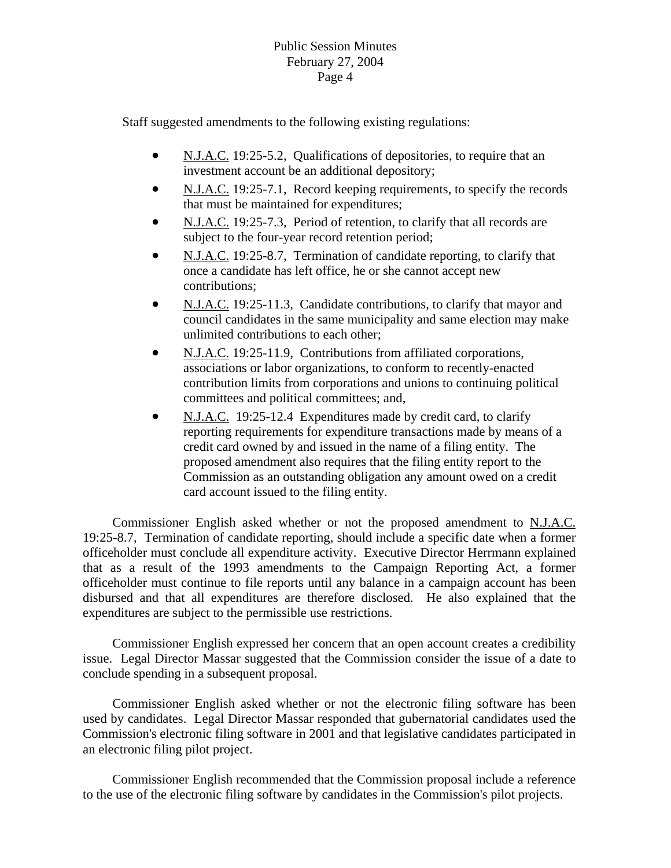## Public Session Minutes February 27, 2004 Page 4

Staff suggested amendments to the following existing regulations:

- N.J.A.C. 19:25-5.2, Qualifications of depositories, to require that an investment account be an additional depository;
- N.J.A.C. 19:25-7.1, Record keeping requirements, to specify the records that must be maintained for expenditures;
- N.J.A.C. 19:25-7.3, Period of retention, to clarify that all records are subject to the four-year record retention period;
- N.J.A.C. 19:25-8.7, Termination of candidate reporting, to clarify that once a candidat e has left office, he or she cannot accept new contributions;
- N.J.A.C. 19:25-11.3, Candidate contributions, to clarify that mayor and council candidates in the same municipality and same election may make unlimited contributions to each other;
- N.J.A.C. 19:25-11.9, Contributions from affiliated corporations, associations or labor organizations, to conform to recently-enacted contribution limits from corporations and unions to continuing poli tical committees and political committees; and,
- N.J.A.C. 19:25-12.4 Expenditures made by credit card, to clarify reporting requirements for expenditure transactions made by means o f a credit card owned by and issued in the name of a filing entity. The proposed amendment also requires that the filing entity report to the Commission as an outstanding obligation any amount owed on a credit card account issued to the filing entity.

 Commissioner English asked whether or not the proposed amendment to N.J.A.C. 19:25-8.7, Termination of candidate reporting, should include a specific date when a former officeholder must conclude all expenditure activity. Executive Director Herrmann explained that as a result of the 1993 amendments to the Campaign Reporting Act, a former officeholder must continue to file reports until any balance in a campaign account has been disbursed and that all expenditures are therefore disclosed. He also explained that the expenditures are subject to the permissible use restrictions.

issue. Legal Director Massar suggested that the Commission consider the issue of a date to Commissioner English expressed her concern that an open account creates a credibility conclude spending in a subsequent proposal.

Commission's electronic filing software in 2001 and that legislative candidates participated in Commissioner English asked whether or not the electronic filing software has been used by candidates. Legal Director Massar responded that gubernatorial candidates used the an electronic filing pilot project.

Commissioner English recommended that the Commission proposal include a reference to the use of the electronic filing software by candidates in the Commission's pilot projects.